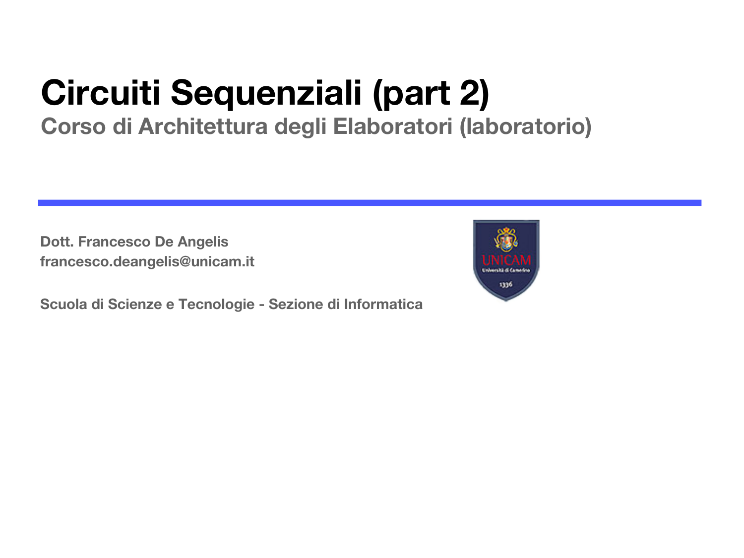## **Circuiti Sequenziali (part 2)**

#### **Corso di Architettura degli Elaboratori (laboratorio)**

**Dott. Francesco De Angelis francesco.deangelis@unicam.it**

**Scuola di Scienze e Tecnologie - Sezione di Informatica**

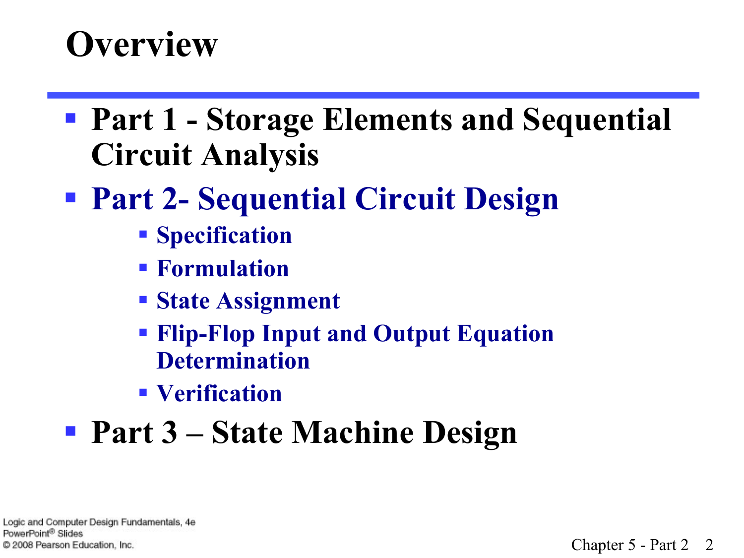#### **Overview**

§ **Part 1 - Storage Elements and Sequential Circuit Analysis** 

#### § **Part 2- Sequential Circuit Design**

- § **Specification**
- § **Formulation**
- § **State Assignment**
- § **Flip-Flop Input and Output Equation Determination**
- § **Verification**

#### § **Part 3 – State Machine Design**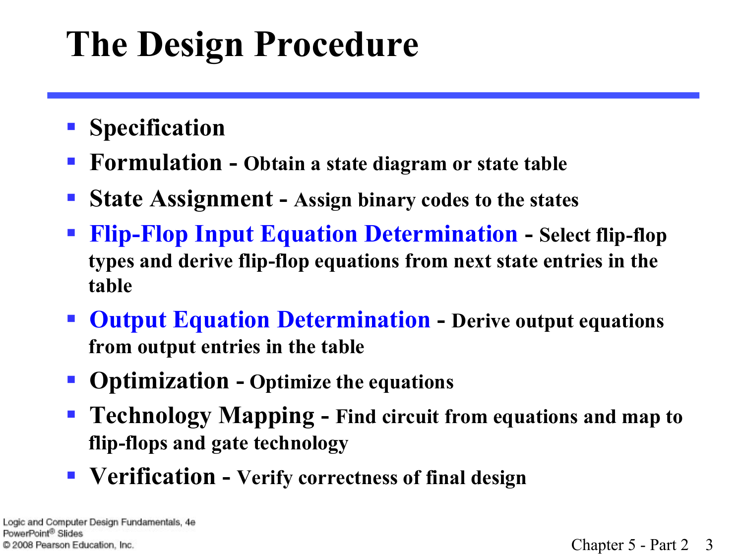# **The Design Procedure**

- § **Specification**
- § **Formulation Obtain a state diagram or state table**
- § **State Assignment Assign binary codes to the states**
- § **Flip-Flop Input Equation Determination Select flip-flop types and derive flip-flop equations from next state entries in the table**
- § **Output Equation Determination Derive output equations from output entries in the table**
- § **Optimization Optimize the equations**
- § **Technology Mapping Find circuit from equations and map to flip-flops and gate technology**
- Verification Verify correctness of final design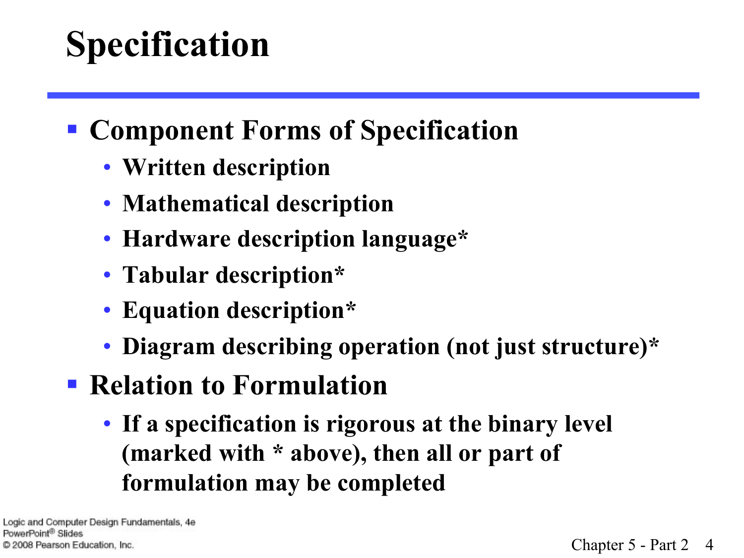# **Specification**

- § **Component Forms of Specification** 
	- **Written description**
	- **Mathematical description**
	- **Hardware description language\***
	- **Tabular description\***
	- **Equation description\***
	- **Diagram describing operation (not just structure)\***
- § **Relation to Formulation** 
	- **If a specification is rigorous at the binary level (marked with \* above), then all or part of formulation may be completed**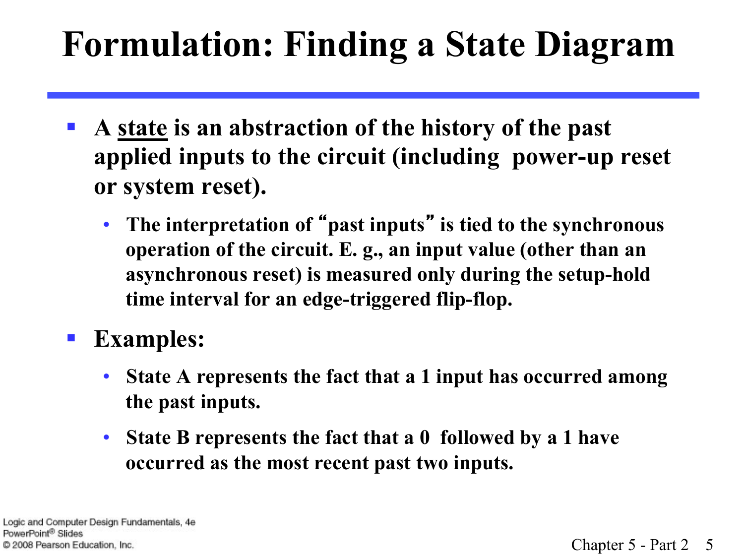## **Formulation: Finding a State Diagram**

- § **A state is an abstraction of the history of the past applied inputs to the circuit (including power-up reset or system reset).** 
	- **The interpretation of** "**past inputs**" **is tied to the synchronous operation of the circuit. E. g., an input value (other than an asynchronous reset) is measured only during the setup-hold time interval for an edge-triggered flip-flop.**

§ **Examples:**

- **State A represents the fact that a 1 input has occurred among the past inputs.**
- **State B represents the fact that a 0 followed by a 1 have occurred as the most recent past two inputs.**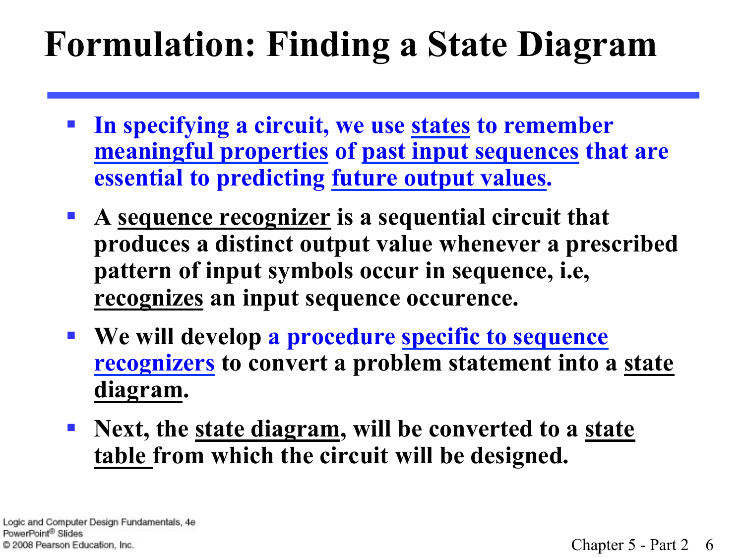## **Formulation: Finding a State Diagram**

- § **In specifying a circuit, we use states to remember meaningful properties of past input sequences that are essential to predicting future output values.**
- § **A sequence recognizer is a sequential circuit that produces a distinct output value whenever a prescribed pattern of input symbols occur in sequence, i.e, recognizes an input sequence occurence.**
- § **We will develop a procedure specific to sequence recognizers to convert a problem statement into a state diagram.**
- § **Next, the state diagram, will be converted to a state table from which the circuit will be designed.**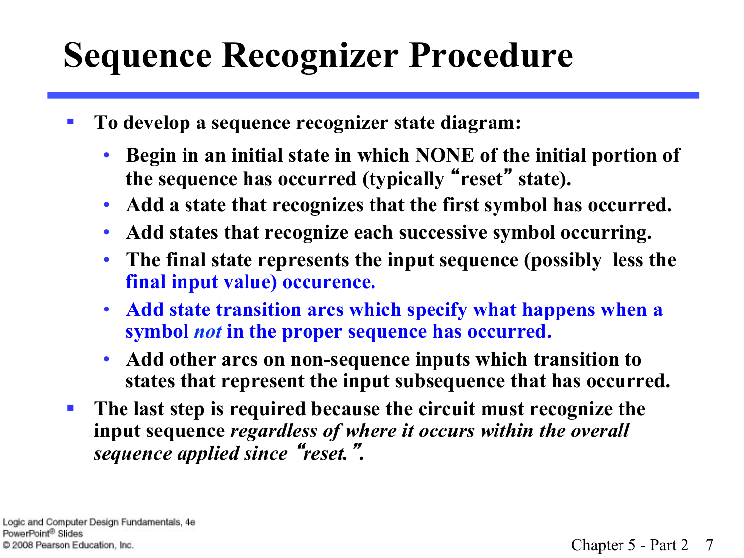## **Sequence Recognizer Procedure**

- To develop a sequence recognizer state diagram:
	- **Begin in an initial state in which NONE of the initial portion of the sequence has occurred (typically** "**reset**" **state).**
	- **Add a state that recognizes that the first symbol has occurred.**
	- **Add states that recognize each successive symbol occurring.**
	- **The final state represents the input sequence (possibly less the final input value) occurence.**
	- **Add state transition arcs which specify what happens when a symbol** *not* **in the proper sequence has occurred.**
	- **Add other arcs on non-sequence inputs which transition to states that represent the input subsequence that has occurred.**
- § **The last step is required because the circuit must recognize the input sequence** *regardless of where it occurs within the overall sequence applied since* "*reset.*"**.**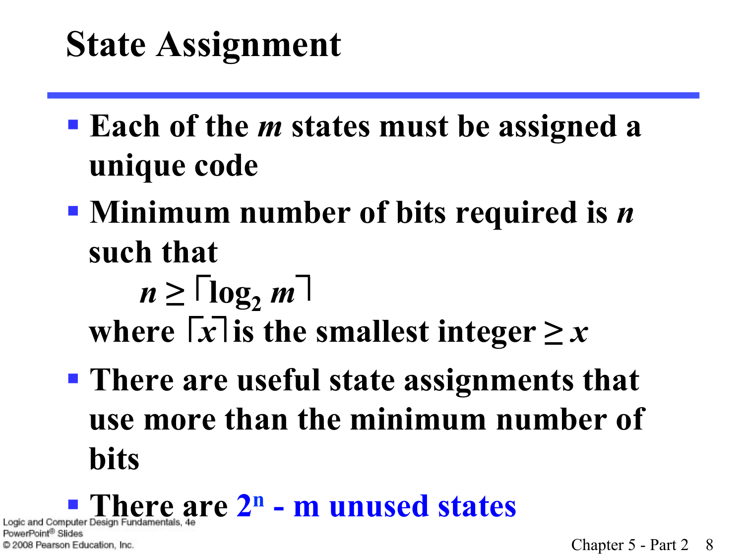### **State Assignment**

- § **Each of the** *m* **states must be assigned a unique code**
- § **Minimum number of bits required is** *n*  **such that** 
	- $n \geq \lceil \log_2 m \rceil$ where  $\lceil x \rceil$  is the smallest integer  $\geq x$
- § **There are useful state assignments that use more than the minimum number of bits**

Point® Slides C 2008 Pearson Education, Inc.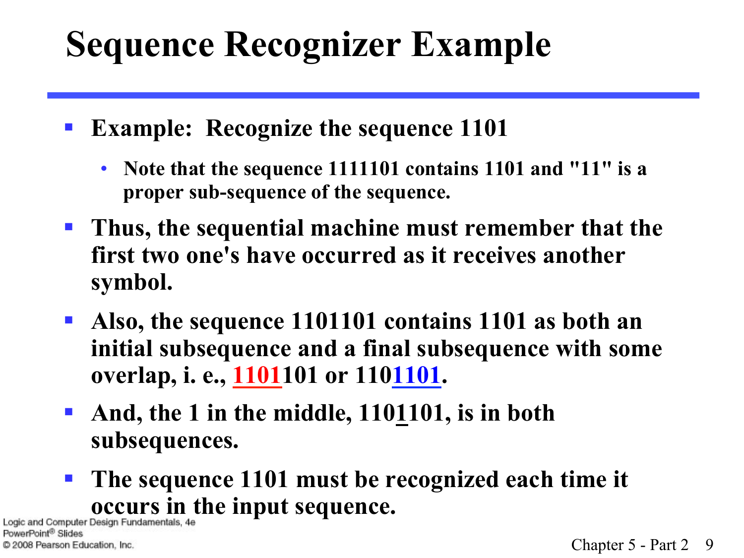## **Sequence Recognizer Example**

- § **Example: Recognize the sequence 1101** 
	- **Note that the sequence 1111101 contains 1101 and "11" is a proper sub-sequence of the sequence.**
- § **Thus, the sequential machine must remember that the first two one's have occurred as it receives another symbol.**
- § **Also, the sequence 1101101 contains 1101 as both an initial subsequence and a final subsequence with some overlap, i. e., 1101101 or 1101101.**
- § **And, the 1 in the middle, 1101101, is in both subsequences.**
- § **The sequence 1101 must be recognized each time it Logic and Computer Design Fundamentals, 4e**

PowerPoint<sup>®</sup> Slides C 2008 Pearson Education, Inc.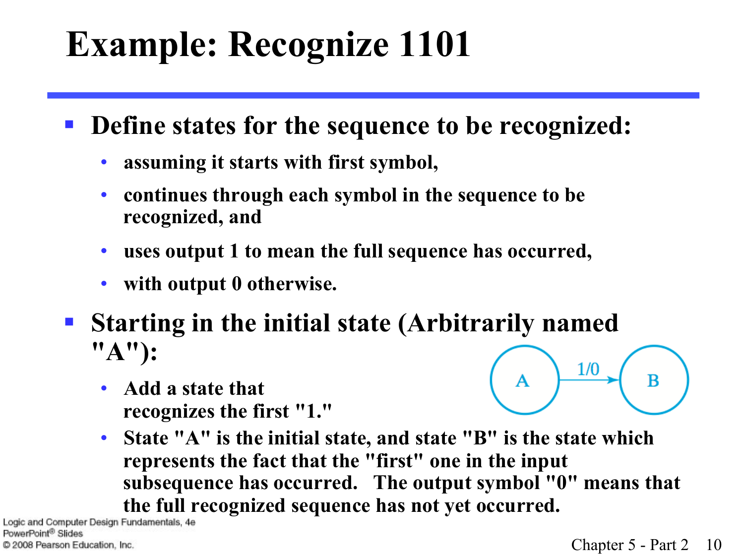# **Example: Recognize 1101**

- **Define states for the sequence to be recognized:** 
	- **assuming it starts with first symbol,**
	- **continues through each symbol in the sequence to be recognized, and**
	- **uses output 1 to mean the full sequence has occurred,**
	- **with output 0 otherwise.**
- § **Starting in the initial state (Arbitrarily named "A"):** 
	- **Add a state that recognizes the first "1."**



• **State "A" is the initial state, and state "B" is the state which represents the fact that the "first" one in the input subsequence has occurred. The output symbol "0" means that the full recognized sequence has not yet occurred.**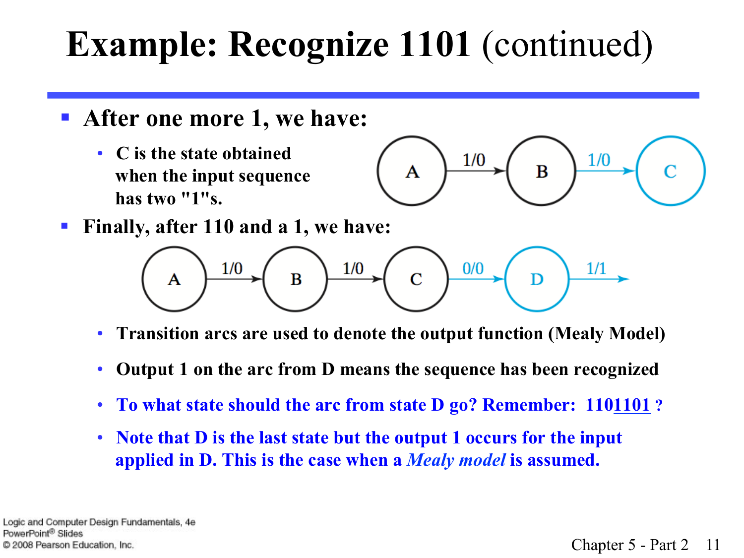- § **After one more 1, we have:**
	- **C is the state obtained when the input sequence has two "1"s.**



■ Finally, after 110 and a 1, we have:



- **Transition arcs are used to denote the output function (Mealy Model)**
- **Output 1 on the arc from D means the sequence has been recognized**
- To what state should the arc from state D go? Remember: 1101101?
- **Note that D is the last state but the output 1 occurs for the input applied in D. This is the case when a** *Mealy model* **is assumed.**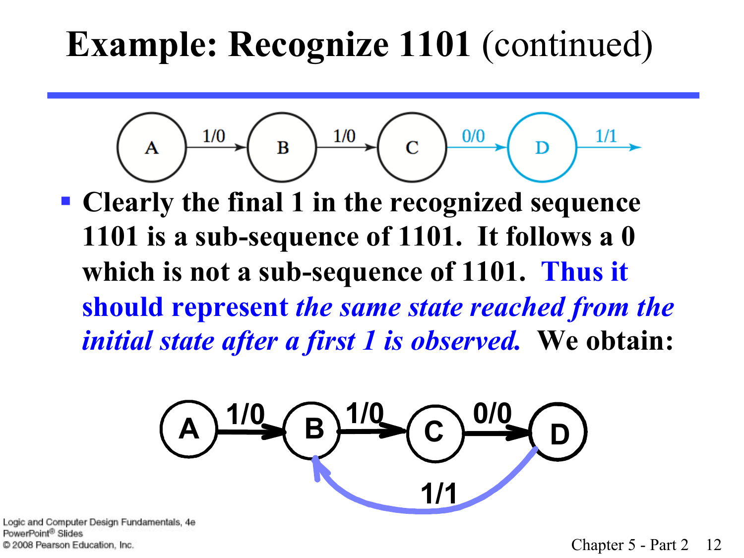$$
(A) \xrightarrow{1/0} (B) \xrightarrow{1/0} (C) \xrightarrow{0/0} (D) \xrightarrow{1/1} (D)
$$

§ **Clearly the final 1 in the recognized sequence 1101 is a sub-sequence of 1101. It follows a 0 which is not a sub-sequence of 1101. Thus it should represent** *the same state reached from the initial state after a first 1 is observed.* **We obtain:** 

$$
(A)^{1/0} \left(\frac{B}{B}\right)^{1/0} \left(\frac{O}{B}\right)^{0/0}
$$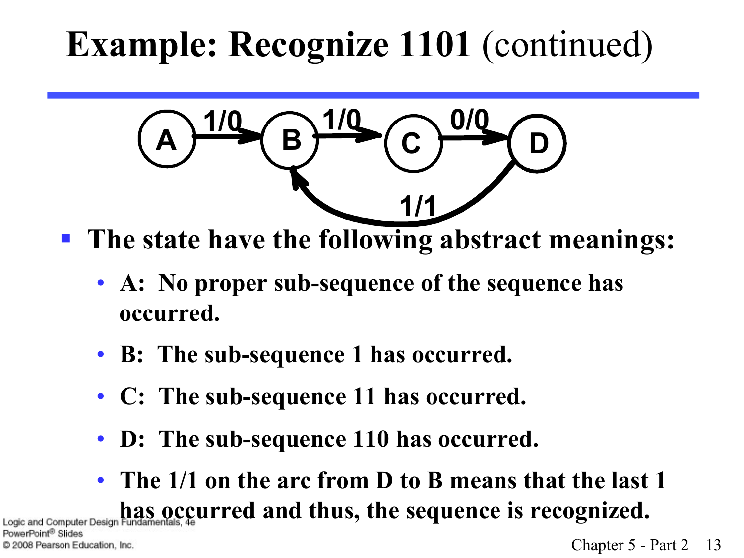$$
\left(\frac{1}{2}\right)^{1/2} \left(\frac{1}{2}\right)^{1/2} \left(\frac{0}{2}\right)^{1/2}
$$

- The state have the following abstract meanings:
	- **A: No proper sub-sequence of the sequence has occurred.**
	- **B: The sub-sequence 1 has occurred.**
	- **C: The sub-sequence 11 has occurred.**
	- **D: The sub-sequence 110 has occurred.**
- **The 1/1 on the arc from D to B means that the last 1**  Logic and Computer Design Fundamentals, 4e **urred and thus, the sequence is recognized.**

C 2008 Pearson Education, Inc.

PowerPoint® Slides

Chapter 5 - Part 2 13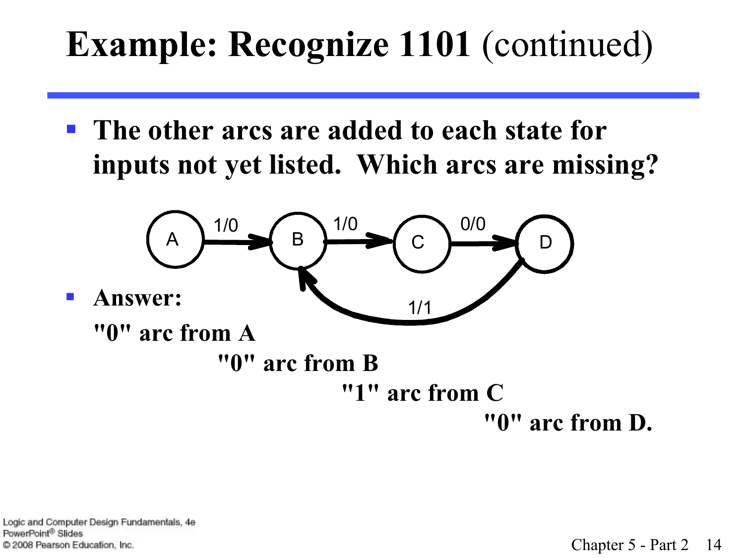§ **The other arcs are added to each state for inputs not yet listed. Which arcs are missing?**



- § **Answer:** 
	- **"0" arc from A**

 **"0" arc from B "1" arc from C** 

 **"0" arc from D.**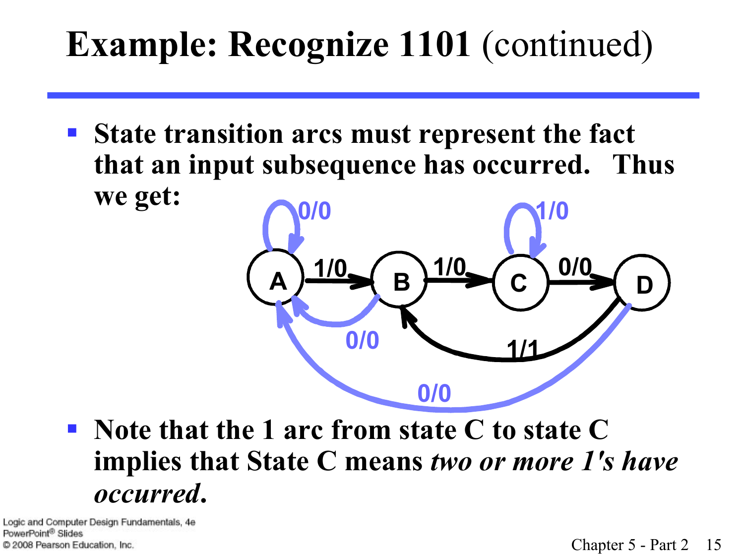§ **State transition arcs must represent the fact that an input subsequence has occurred. Thus we get: 0/0 1/0**



§ **Note that the 1 arc from state C to state C implies that State C means** *two or more 1's have occurred***.**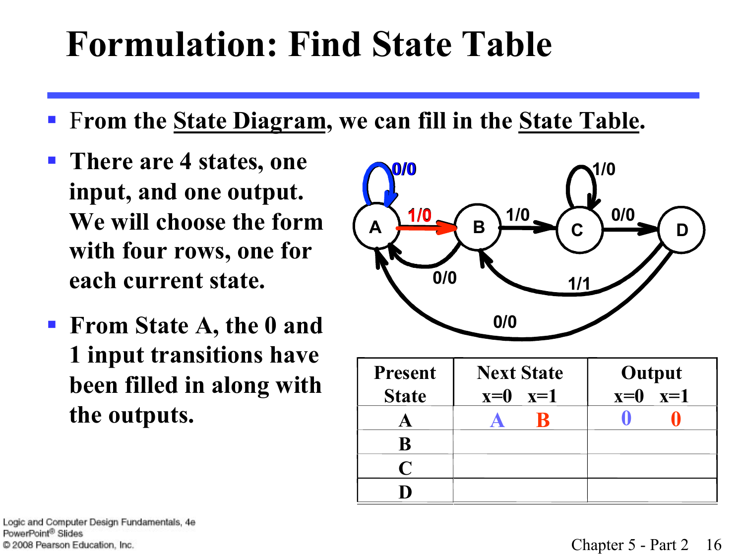### **Formulation: Find State Table**

- § F**rom the State Diagram, we can fill in the State Table.**
- § **There are 4 states, one input, and one output. We will choose the form with four rows, one for each current state.**
- § **From State A, the 0 and 1 input transitions have been filled in along with the outputs.**



| <b>Present</b> | <b>Next State</b> | Output      |
|----------------|-------------------|-------------|
| <b>State</b>   | $x=0$ $x=1$       | $x=0$ $x=1$ |
|                |                   |             |
| B              |                   |             |
| C              |                   |             |
|                |                   |             |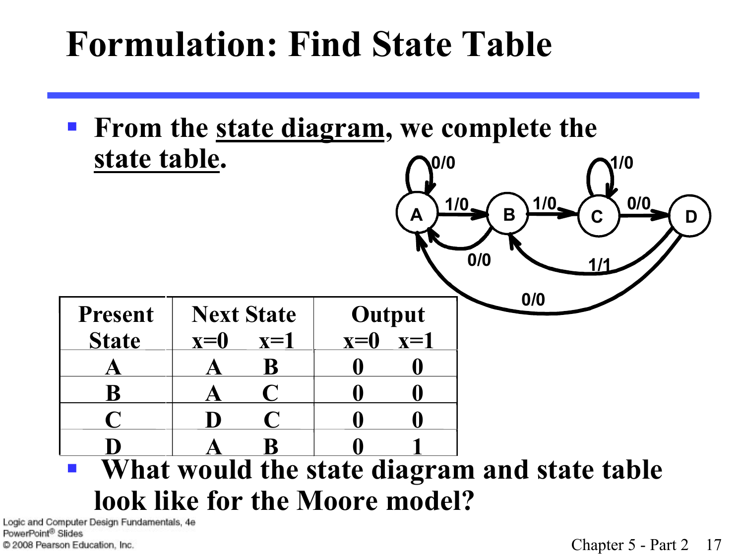#### **Formulation: Find State Table**

■ From the <u>state diagram</u>, we complete the **state table. 0/0 1/0**

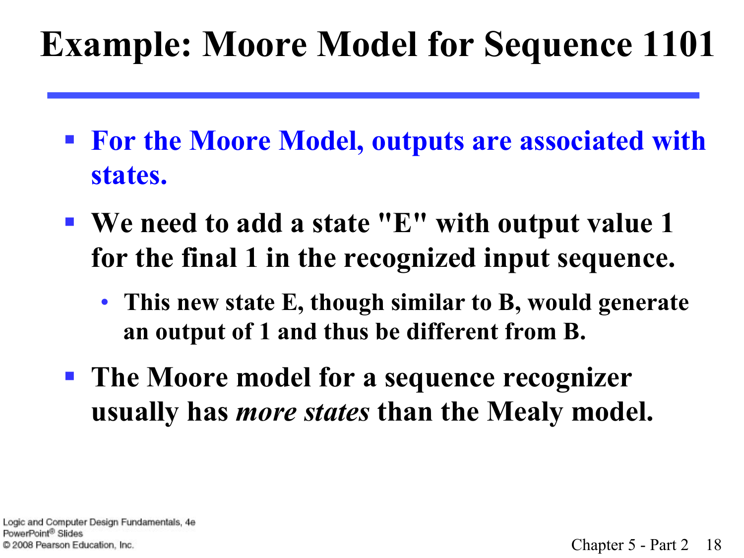## **Example: Moore Model for Sequence 1101**

- § **For the Moore Model, outputs are associated with states.**
- § **We need to add a state "E" with output value 1 for the final 1 in the recognized input sequence.** 
	- **This new state E, though similar to B, would generate an output of 1 and thus be different from B.**
- § **The Moore model for a sequence recognizer usually has** *more states* **than the Mealy model.**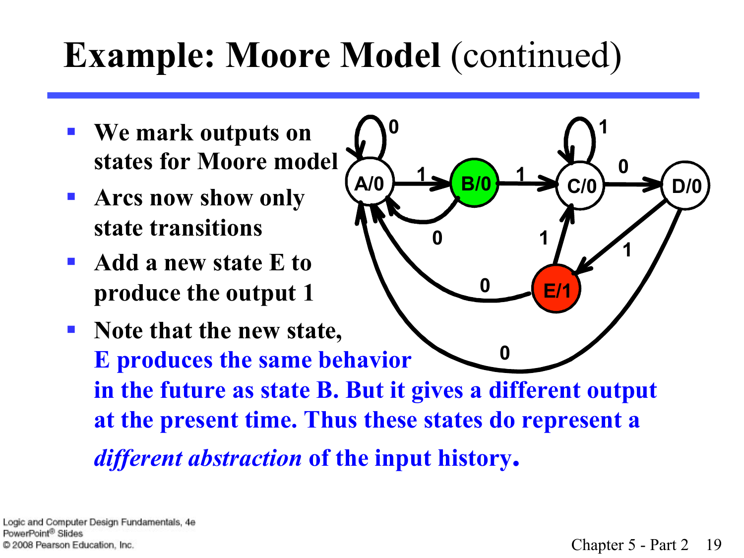# **Example: Moore Model (continued)**

**0**

- § **We mark outputs on states for Moore model**
- § **Arcs now show only state transitions**
- § **Add a new state E to produce the output 1**
- **Note that the new state, E produces the same behavior in the future as state B. But it gives a different output at the present time. Thus these states do represent a**  *different abstraction* **of the input history. 0**

**A/0** <del>D/0</del> B/0  $\rightarrow$  C/0  $\rightarrow$  C/0

 $\begin{bmatrix} 0 & 1 \end{bmatrix}$ 

**0**

**1 1** 

**E/1**

**0**

**1**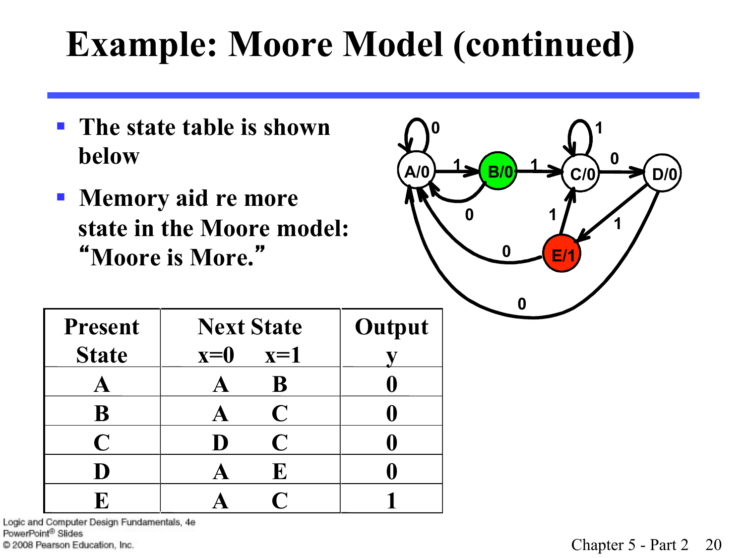## **Example: Moore Model (continued)**

- § **The state table is shown below**
- § **Memory aid re more state in the Moore model:**  "**Moore is More.**"



| <b>Present</b> | <b>Next State</b> | Output |
|----------------|-------------------|--------|
| <b>State</b>   | $x=0$<br>$x=1$    |        |
|                | B                 |        |
| B              | $\mathbf C$       |        |
| $\mathbf C$    | $\mathbf C$<br>D  |        |
| D              | E                 |        |
|                |                   |        |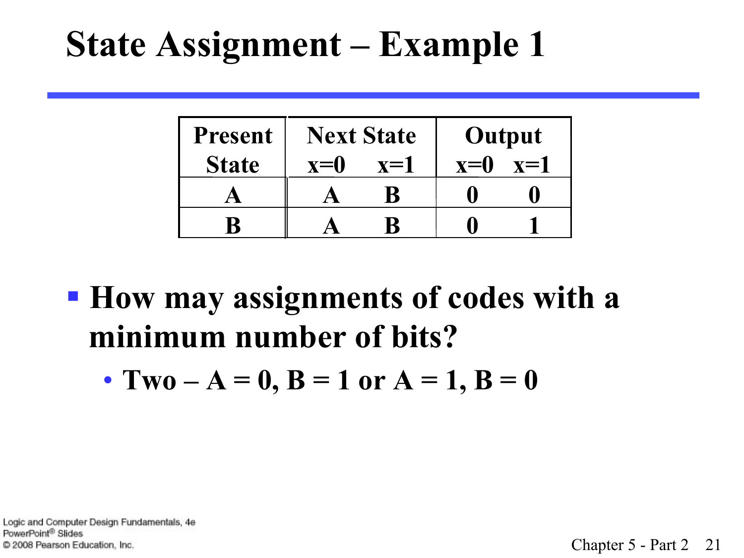### **State Assignment – Example 1**

| <b>Present</b> | <b>Next State</b> |       | Output |       |
|----------------|-------------------|-------|--------|-------|
| <b>State</b>   | $\mathbf{x} = 0$  | $x=1$ | $x=0$  | $x=1$ |
|                |                   |       |        |       |
|                |                   |       |        |       |

§ **How may assignments of codes with a minimum number of bits?** 

• **Two**  $-A = 0$ ,  $B = 1$  or  $A = 1$ ,  $B = 0$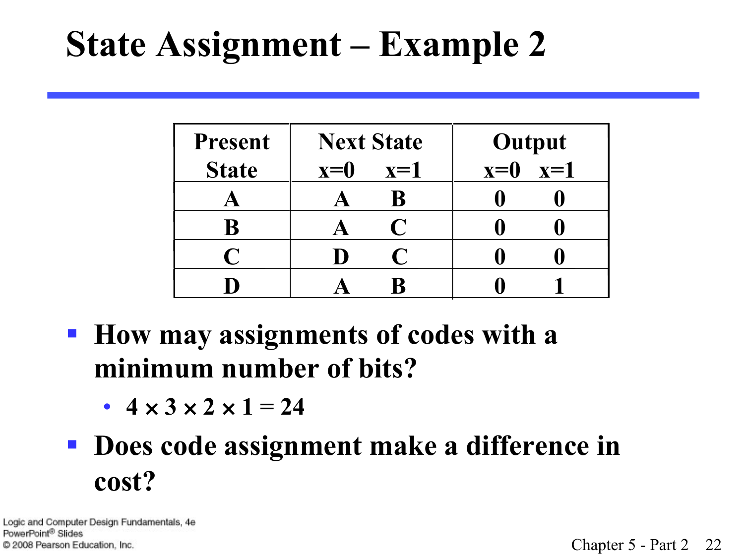### **State Assignment – Example 2**

| <b>Present</b> | <b>Next State</b> | Output         |  |
|----------------|-------------------|----------------|--|
| <b>State</b>   | $x=0$<br>$x=1$    | $x=1$<br>$x=0$ |  |
|                | B                 |                |  |
| B              | C                 |                |  |
| $\bigcap$      | I)                |                |  |
|                |                   |                |  |

- § **How may assignments of codes with a minimum number of bits?** 
	- $4 \times 3 \times 2 \times 1 = 24$

#### § **Does code assignment make a difference in cost?**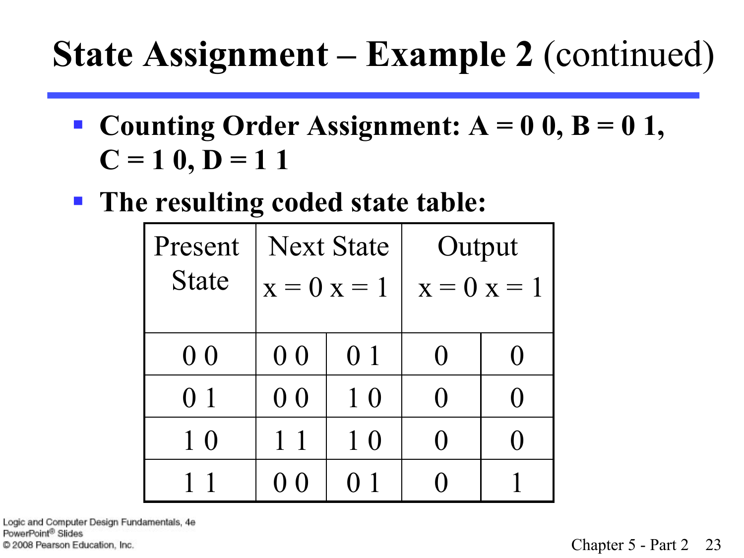#### **State Assignment – Example 2** (continued)

- **Counting Order Assignment:**  $A = 0$  0,  $B = 0$  1,  $C = 10, D = 11$
- The resulting coded state table:

| Present        | <b>Next State</b> |                | Output           |                   |  |
|----------------|-------------------|----------------|------------------|-------------------|--|
| <b>State</b>   | $x = 0$ $x = 1$   |                | $x = 0$ $x = 1$  |                   |  |
|                |                   |                |                  |                   |  |
| 0 <sub>0</sub> | 0 <sub>0</sub>    | 0 1            | $\left( \right)$ | $\mathbf{\Omega}$ |  |
| 0 <sub>1</sub> | 0 <sub>0</sub>    | 1 <sub>0</sub> | $\Omega$         | ⋂                 |  |
| 1 <sub>0</sub> | $1\,1$            | 10             | 0                | ( )               |  |
|                | () ()             | 0 1            |                  |                   |  |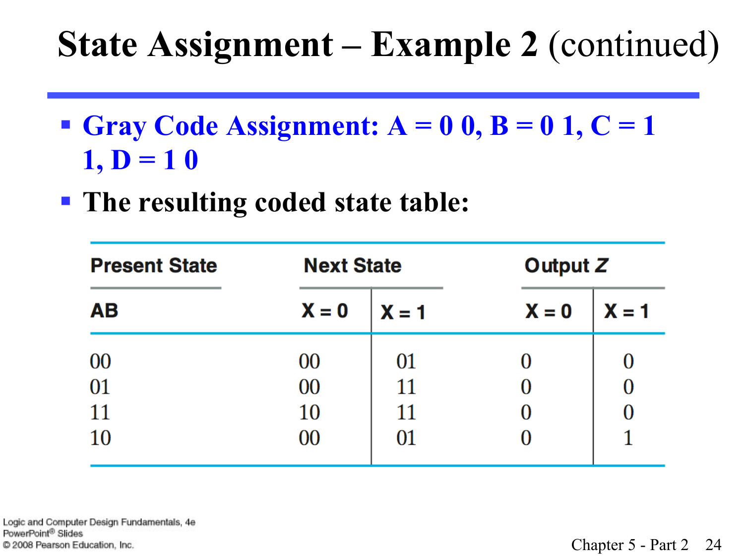#### **State Assignment – Example 2** (continued)

**• Gray Code Assignment:**  $A = 0$  0,  $B = 0$  1,  $C = 1$  $1, D = 10$ 

§ **The resulting coded state table:** 

| <b>Present State</b> | <b>Next State</b> |         | Output Z |         |  |
|----------------------|-------------------|---------|----------|---------|--|
| <b>AB</b>            | $X = 0$           | $X = 1$ | $X = 0$  | $X = 1$ |  |
| 00                   | 00                | 01      |          |         |  |
| 01                   | 00                | 11      |          |         |  |
| 11                   | 10                | 11      |          |         |  |
| <b>10</b>            | 00                | 01      |          |         |  |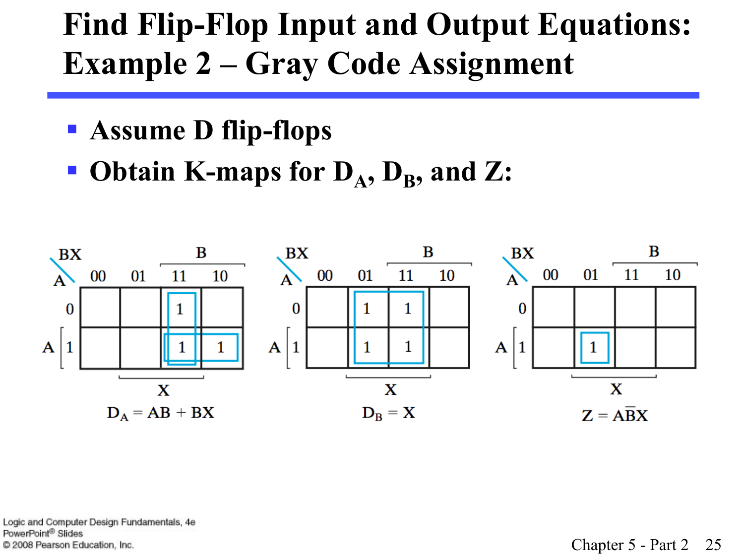#### **Find Flip-Flop Input and Output Equations: Example 2 – Gray Code Assignment**

- § **Assume D flip-flops**
- Obtain K-maps for  $D_A$ ,  $D_B$ , and Z:

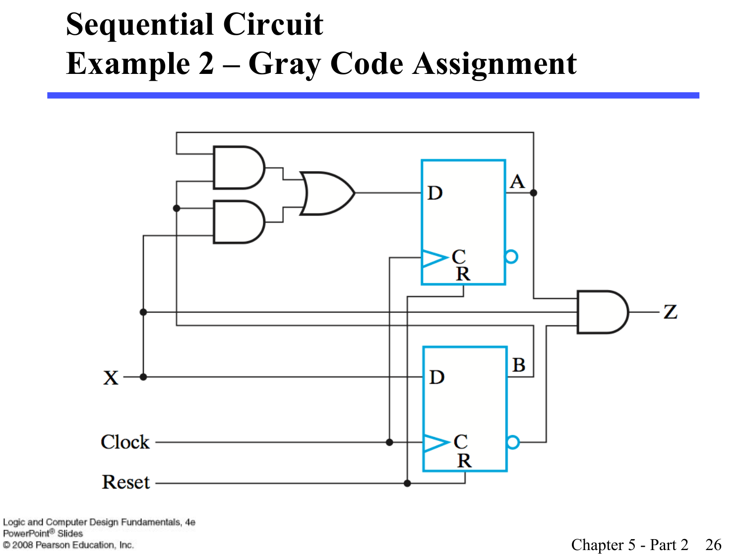#### **Sequential Circuit Example 2 – Gray Code Assignment**

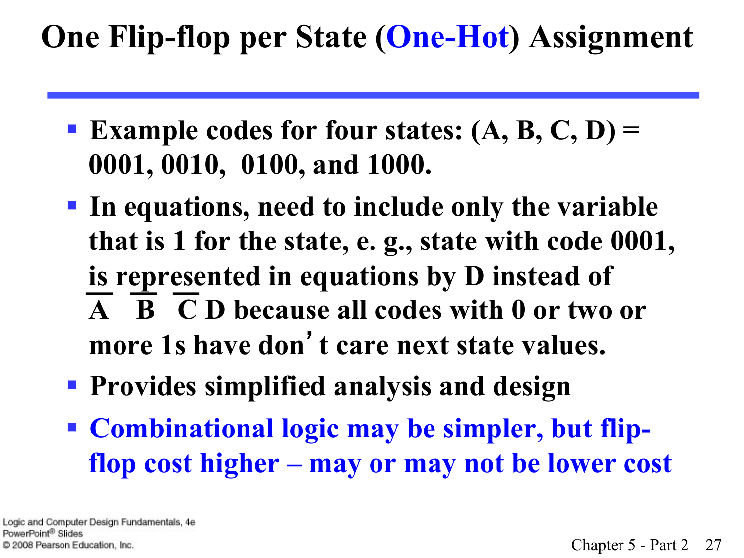#### **One Flip-flop per State (One-Hot) Assignment**

- **Example codes for four states: (A, B, C, D)** = **0001, 0010, 0100, and 1000.**
- § **In equations, need to include only the variable that is 1 for the state, e. g., state with code 0001, is represented in equations by D instead of A B C D because all codes with 0 or two or more 1s have don**'**t care next state values.**
- § **Provides simplified analysis and design**
- § **Combinational logic may be simpler, but flipflop cost higher – may or may not be lower cost**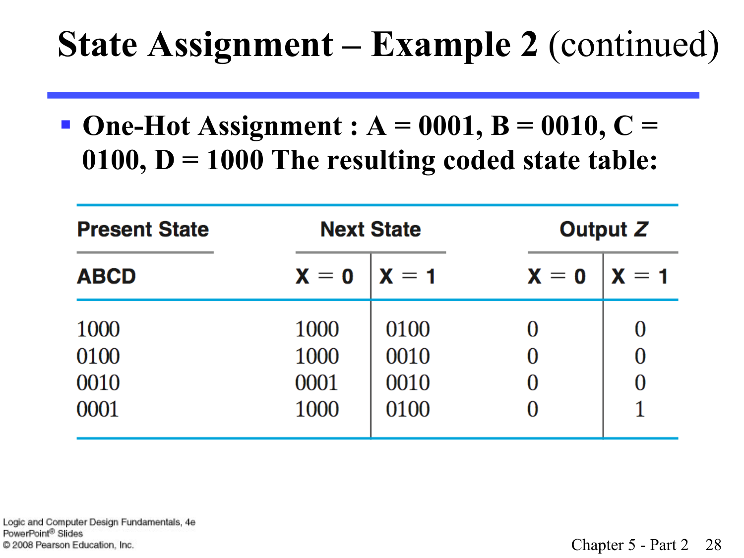#### **State Assignment – Example 2** (continued)

§ **One-Hot Assignment : A = 0001, B = 0010, C = 0100, D = 1000 The resulting coded state table:** 

| <b>Present State</b> |                         | <b>Next State</b> | <b>Output Z</b>         |                           |  |
|----------------------|-------------------------|-------------------|-------------------------|---------------------------|--|
| <b>ABCD</b>          | $\mathbf{X}=\mathbf{0}$ | $X = 1$           | $\mathbf{X}=\mathbf{0}$ | $\mathbf{X} = \mathbf{1}$ |  |
| 1000                 | 1000                    | 0100              |                         |                           |  |
| 0100                 | 1000                    | 0010              |                         |                           |  |
| 0010                 | 0001                    | 0010              | $\mathcal{O}$           |                           |  |
| 0001                 | 1000                    | 0100              |                         |                           |  |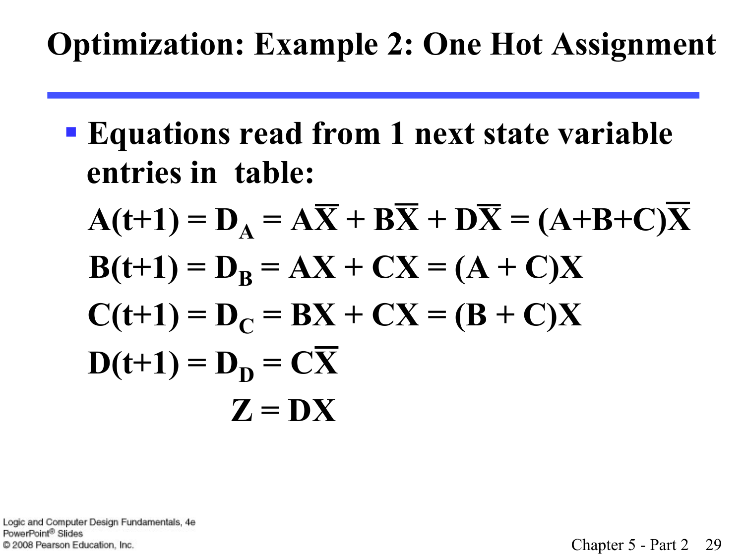#### **Optimization: Example 2: One Hot Assignment**

- § **Equations read from 1 next state variable entries in table:**
	- $A(t+1) = D_A = A\overline{X} + B\overline{X} + D\overline{X} = (A+B+C)X$  $B(t+1) = D_B = AX + CX = (A + C)X$  $C(t+1) = D_C = BX + CX = (B + C)X$  $D(t+1) = D_D = CX$  $Z = DX$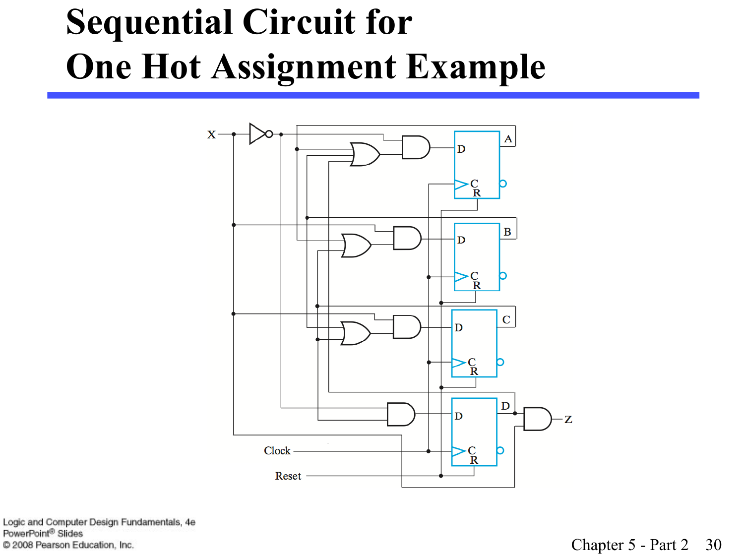## **Sequential Circuit for One Hot Assignment Example**

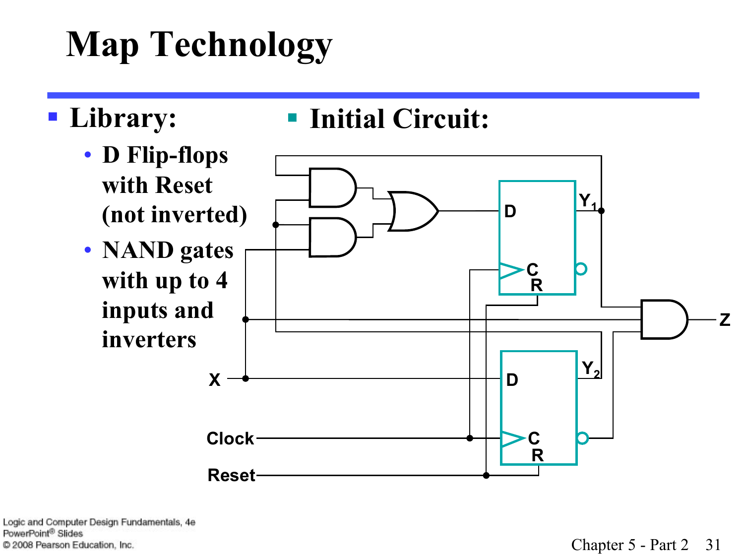# **Map Technology**

#### § **Library:**

#### § **Initial Circuit:**

- **D Flip-flops with Reset**
- **NAND gates with up to 4 inputs and**

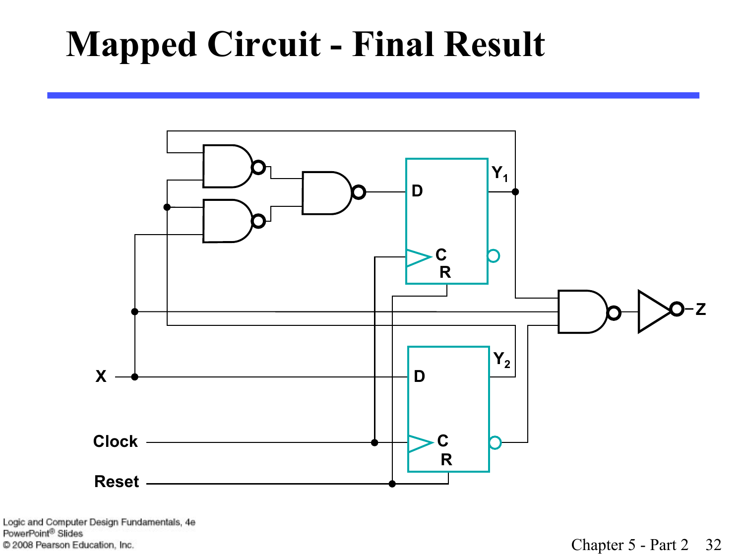### **Mapped Circuit - Final Result**

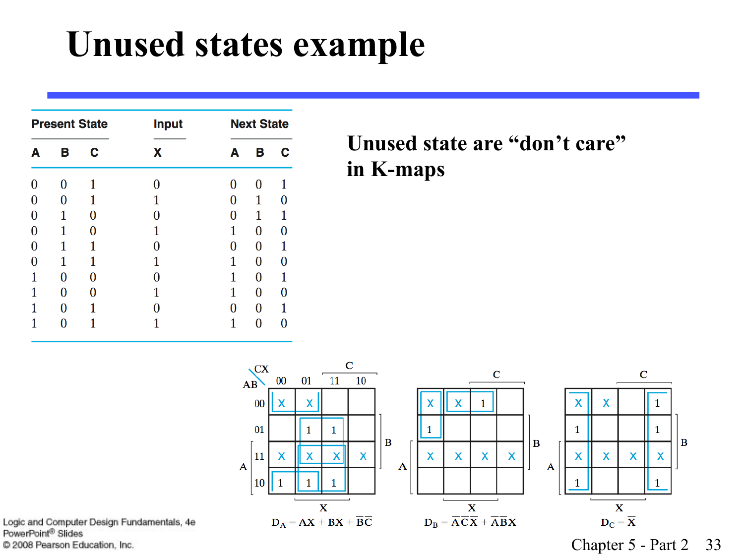#### **Unused states example**

| <b>Present State</b> |   |   | <b>Input</b> | <b>Next State</b> |                |   |
|----------------------|---|---|--------------|-------------------|----------------|---|
| А                    | В | C | x            | A                 | В              | C |
| 0                    | 0 | 1 | 0            | 0                 | 0              |   |
|                      | 0 | 1 |              | 0                 | 1              |   |
| 0                    | 1 | 0 | 0            | $\bf{0}$          | 1              | 1 |
| 0                    | 1 | 0 | 1            | 1                 | 0              | 0 |
| 0                    | 1 | 1 | 0            | 0                 | $\overline{0}$ | 1 |
| 0                    | 1 | 1 | 1            | $\mathbf{1}$      | 0              | 0 |
| 1                    | 0 | 0 |              | 1                 | 0              | 1 |
|                      | 0 | 0 |              | 1                 | 0              | 0 |
|                      | 0 | 1 |              | 0                 | 0              | 1 |
|                      |   |   |              |                   | 0              |   |

#### **Unused state are "don't care" in K-maps**



Logic and Computer Design Fundamentals, 4e PowerPoint® Slides C 2008 Pearson Education, Inc.

Chapter 5 - Part 2 33